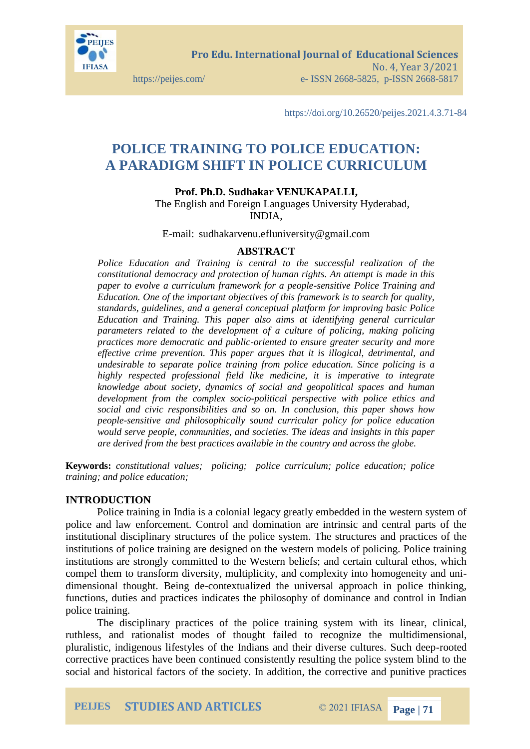

**Pro Edu. International Journal of Educational Sciences**  No. 4, Year 3/2021 https://peijes.com/ e- ISSN 2668-5825, p-ISSN 2668-5817

https://doi.org/10.26520/peijes.2021.4.3.71-84

# **POLICE TRAINING TO POLICE EDUCATION: A PARADIGM SHIFT IN POLICE CURRICULUM**

**Prof. Ph.D. Sudhakar VENUKAPALLI,** 

The English and Foreign Languages University Hyderabad, INDIA,

E-mail: sudhakarvenu.efluniversity@gmail.com

#### **ABSTRACT**

*Police Education and Training is central to the successful realization of the constitutional democracy and protection of human rights. An attempt is made in this paper to evolve a curriculum framework for a people-sensitive Police Training and Education. One of the important objectives of this framework is to search for quality, standards, guidelines, and a general conceptual platform for improving basic Police Education and Training. This paper also aims at identifying general curricular parameters related to the development of a culture of policing, making policing practices more democratic and public-oriented to ensure greater security and more effective crime prevention. This paper argues that it is illogical, detrimental, and undesirable to separate police training from police education. Since policing is a highly respected professional field like medicine, it is imperative to integrate knowledge about society, dynamics of social and geopolitical spaces and human development from the complex socio-political perspective with police ethics and social and civic responsibilities and so on. In conclusion, this paper shows how people-sensitive and philosophically sound curricular policy for police education would serve people, communities, and societies. The ideas and insights in this paper are derived from the best practices available in the country and across the globe.*

**Keywords:** *constitutional values; policing; police curriculum; police education; police training; and police education;*

#### **INTRODUCTION**

Police training in India is a colonial legacy greatly embedded in the western system of police and law enforcement. Control and domination are intrinsic and central parts of the institutional disciplinary structures of the police system. The structures and practices of the institutions of police training are designed on the western models of policing. Police training institutions are strongly committed to the Western beliefs; and certain cultural ethos, which compel them to transform diversity, multiplicity, and complexity into homogeneity and unidimensional thought. Being de-contextualized the universal approach in police thinking, functions, duties and practices indicates the philosophy of dominance and control in Indian police training.

The disciplinary practices of the police training system with its linear, clinical, ruthless, and rationalist modes of thought failed to recognize the multidimensional, pluralistic, indigenous lifestyles of the Indians and their diverse cultures. Such deep-rooted corrective practices have been continued consistently resulting the police system blind to the social and historical factors of the society. In addition, the corrective and punitive practices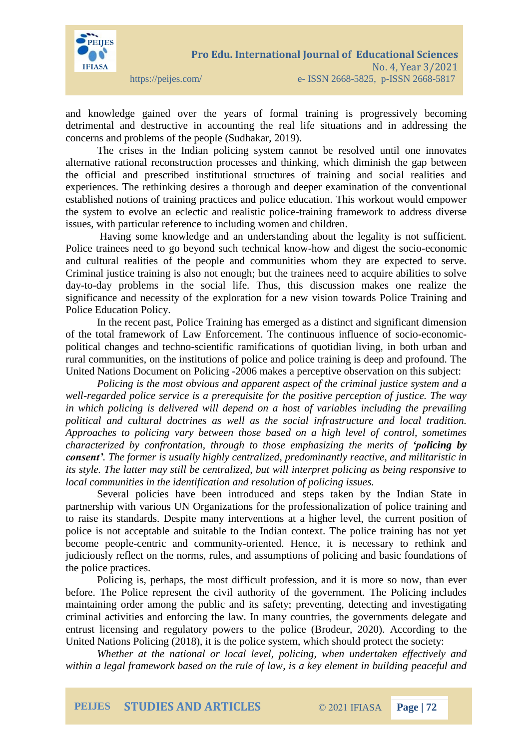

and knowledge gained over the years of formal training is progressively becoming detrimental and destructive in accounting the real life situations and in addressing the concerns and problems of the people (Sudhakar, 2019).

The crises in the Indian policing system cannot be resolved until one innovates alternative rational reconstruction processes and thinking, which diminish the gap between the official and prescribed institutional structures of training and social realities and experiences. The rethinking desires a thorough and deeper examination of the conventional established notions of training practices and police education. This workout would empower the system to evolve an eclectic and realistic police-training framework to address diverse issues, with particular reference to including women and children.

Having some knowledge and an understanding about the legality is not sufficient. Police trainees need to go beyond such technical know-how and digest the socio-economic and cultural realities of the people and communities whom they are expected to serve. Criminal justice training is also not enough; but the trainees need to acquire abilities to solve day-to-day problems in the social life. Thus, this discussion makes one realize the significance and necessity of the exploration for a new vision towards Police Training and Police Education Policy.

In the recent past, Police Training has emerged as a distinct and significant dimension of the total framework of Law Enforcement. The continuous influence of socio-economicpolitical changes and techno-scientific ramifications of quotidian living, in both urban and rural communities, on the institutions of police and police training is deep and profound. The United Nations Document on Policing -2006 makes a perceptive observation on this subject:

*Policing is the most obvious and apparent aspect of the criminal justice system and a well-regarded police service is a prerequisite for the positive perception of justice. The way in which policing is delivered will depend on a host of variables including the prevailing political and cultural doctrines as well as the social infrastructure and local tradition. Approaches to policing vary between those based on a high level of control, sometimes characterized by confrontation, through to those emphasizing the merits of 'policing by consent'. The former is usually highly centralized, predominantly reactive, and militaristic in its style. The latter may still be centralized, but will interpret policing as being responsive to local communities in the identification and resolution of policing issues.*

Several policies have been introduced and steps taken by the Indian State in partnership with various UN Organizations for the professionalization of police training and to raise its standards. Despite many interventions at a higher level, the current position of police is not acceptable and suitable to the Indian context. The police training has not yet become people-centric and community-oriented. Hence, it is necessary to rethink and judiciously reflect on the norms, rules, and assumptions of policing and basic foundations of the police practices.

Policing is, perhaps, the most difficult profession, and it is more so now, than ever before. The Police represent the civil authority of the government. The Policing includes maintaining order among the public and its safety; preventing, detecting and investigating criminal activities and enforcing the law. In many countries, the governments delegate and entrust licensing and regulatory powers to the police (Brodeur, 2020). According to the United Nations Policing (2018), it is the police system, which should protect the society:

*Whether at the national or local level, policing, when undertaken effectively and within a legal framework based on the rule of law, is a key element in building peaceful and*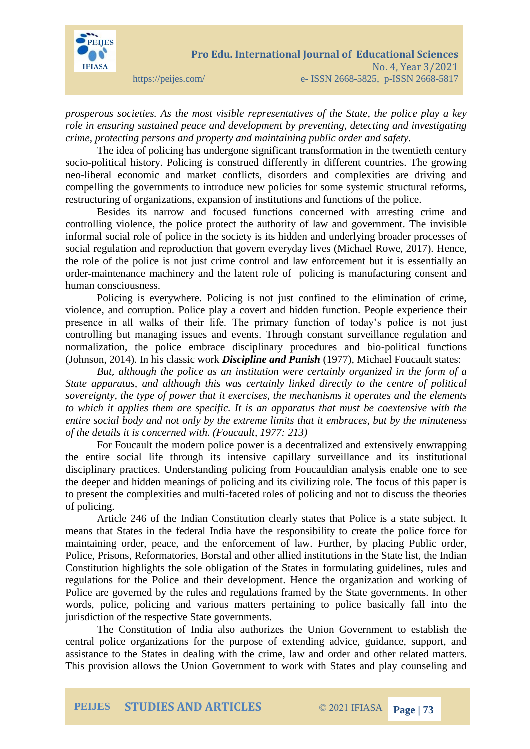

*prosperous societies. As the most visible representatives of the State, the police play a key role in ensuring sustained peace and development by preventing, detecting and investigating crime, protecting persons and property and maintaining public order and safety.*

The idea of policing has undergone significant transformation in the twentieth century socio-political history. Policing is construed differently in different countries. The growing neo-liberal economic and market conflicts, disorders and complexities are driving and compelling the governments to introduce new policies for some systemic structural reforms, restructuring of organizations, expansion of institutions and functions of the police.

Besides its narrow and focused functions concerned with arresting crime and controlling violence, the police protect the authority of law and government. The invisible informal social role of police in the society is its hidden and underlying broader processes of social regulation and reproduction that govern everyday lives (Michael Rowe, 2017). Hence, the role of the police is not just crime control and law enforcement but it is essentially an order-maintenance machinery and the latent role of policing is manufacturing consent and human consciousness.

Policing is everywhere. Policing is not just confined to the elimination of crime, violence, and corruption. Police play a covert and hidden function. People experience their presence in all walks of their life. The primary function of today's police is not just controlling but managing issues and events. Through constant surveillance regulation and normalization, the police embrace disciplinary procedures and bio-political functions (Johnson, 2014). In his classic work *Discipline and Punish* (1977), Michael Foucault states:

*But, although the police as an institution were certainly organized in the form of a State apparatus, and although this was certainly linked directly to the centre of political sovereignty, the type of power that it exercises, the mechanisms it operates and the elements to which it applies them are specific. It is an apparatus that must be coextensive with the entire social body and not only by the extreme limits that it embraces, but by the minuteness of the details it is concerned with. (Foucault, 1977: 213)*

For Foucault the modern police power is a decentralized and extensively enwrapping the entire social life through its intensive capillary surveillance and its institutional disciplinary practices. Understanding policing from Foucauldian analysis enable one to see the deeper and hidden meanings of policing and its civilizing role. The focus of this paper is to present the complexities and multi-faceted roles of policing and not to discuss the theories of policing.

Article 246 of the Indian Constitution clearly states that Police is a state subject. It means that States in the federal India have the responsibility to create the police force for maintaining order, peace, and the enforcement of law. Further, by placing Public order, Police, Prisons, Reformatories, Borstal and other allied institutions in the State list, the Indian Constitution highlights the sole obligation of the States in formulating guidelines, rules and regulations for the Police and their development. Hence the organization and working of Police are governed by the rules and regulations framed by the State governments. In other words, police, policing and various matters pertaining to police basically fall into the jurisdiction of the respective State governments.

The Constitution of India also authorizes the Union Government to establish the central police organizations for the purpose of extending advice, guidance, support, and assistance to the States in dealing with the crime, law and order and other related matters. This provision allows the Union Government to work with States and play counseling and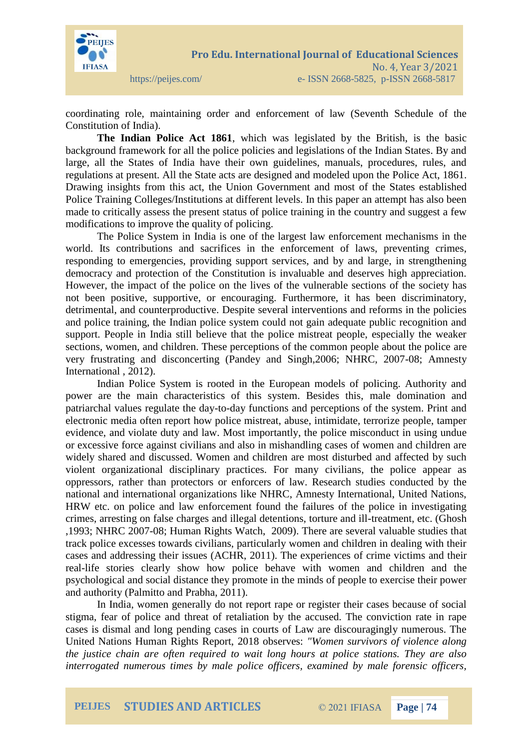

## coordinating role, maintaining order and enforcement of law (Seventh Schedule of the Constitution of India).

**The Indian Police Act 1861**, which was legislated by the British, is the basic background framework for all the police policies and legislations of the Indian States. By and large, all the States of India have their own guidelines, manuals, procedures, rules, and regulations at present. All the State acts are designed and modeled upon the Police Act, 1861. Drawing insights from this act, the Union Government and most of the States established Police Training Colleges/Institutions at different levels. In this paper an attempt has also been made to critically assess the present status of police training in the country and suggest a few modifications to improve the quality of policing.

The Police System in India is one of the largest law enforcement mechanisms in the world. Its contributions and sacrifices in the enforcement of laws, preventing crimes, responding to emergencies, providing support services, and by and large, in strengthening democracy and protection of the Constitution is invaluable and deserves high appreciation. However, the impact of the police on the lives of the vulnerable sections of the society has not been positive, supportive, or encouraging. Furthermore, it has been discriminatory, detrimental, and counterproductive. Despite several interventions and reforms in the policies and police training, the Indian police system could not gain adequate public recognition and support. People in India still believe that the police mistreat people, especially the weaker sections, women, and children. These perceptions of the common people about the police are very frustrating and disconcerting (Pandey and Singh,2006; NHRC, 2007-08; Amnesty International , 2012).

Indian Police System is rooted in the European models of policing. Authority and power are the main characteristics of this system. Besides this, male domination and patriarchal values regulate the day-to-day functions and perceptions of the system. Print and electronic media often report how police mistreat, abuse, intimidate, terrorize people, tamper evidence, and violate duty and law. Most importantly, the police misconduct in using undue or excessive force against civilians and also in mishandling cases of women and children are widely shared and discussed. Women and children are most disturbed and affected by such violent organizational disciplinary practices. For many civilians, the police appear as oppressors, rather than protectors or enforcers of law. Research studies conducted by the national and international organizations like NHRC, Amnesty International, United Nations, HRW etc. on police and law enforcement found the failures of the police in investigating crimes, arresting on false charges and illegal detentions, torture and ill-treatment, etc. (Ghosh ,1993; NHRC 2007-08; Human Rights Watch, 2009). There are several valuable studies that track police excesses towards civilians, particularly women and children in dealing with their cases and addressing their issues (ACHR, 2011). The experiences of crime victims and their real-life stories clearly show how police behave with women and children and the psychological and social distance they promote in the minds of people to exercise their power and authority (Palmitto and Prabha, 2011).

In India, women generally do not report rape or register their cases because of social stigma, fear of police and threat of retaliation by the accused. The conviction rate in rape cases is dismal and long pending cases in courts of Law are discouragingly numerous. The United Nations Human Rights Report, 2018 observes: *"Women survivors of violence along the justice chain are often required to wait long hours at police stations. They are also interrogated numerous times by male police officers, examined by male forensic officers,*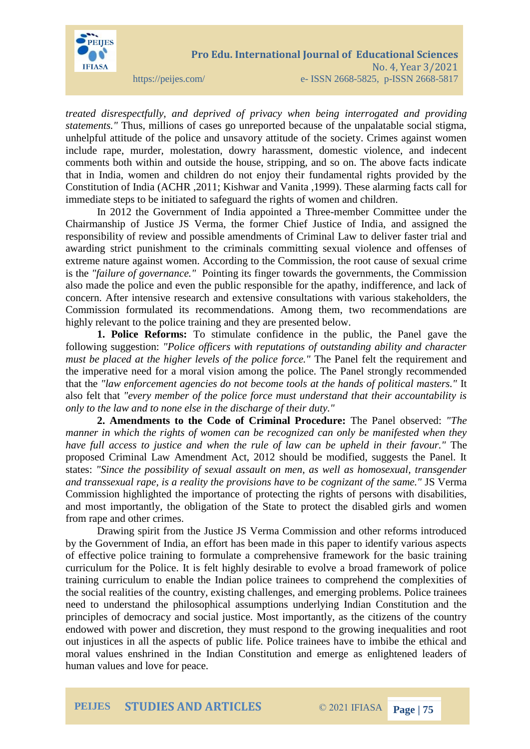

*treated disrespectfully, and deprived of privacy when being interrogated and providing statements."* Thus, millions of cases go unreported because of the unpalatable social stigma, unhelpful attitude of the police and unsavory attitude of the society. Crimes against women include rape, murder, molestation, dowry harassment, domestic violence, and indecent comments both within and outside the house, stripping, and so on. The above facts indicate that in India, women and children do not enjoy their fundamental rights provided by the Constitution of India (ACHR ,2011; Kishwar and Vanita ,1999). These alarming facts call for immediate steps to be initiated to safeguard the rights of women and children.

In 2012 the Government of India appointed a Three-member Committee under the Chairmanship of Justice JS Verma, the former Chief Justice of India, and assigned the responsibility of review and possible amendments of Criminal Law to deliver faster trial and awarding strict punishment to the criminals committing sexual violence and offenses of extreme nature against women. According to the Commission, the root cause of sexual crime is the *"failure of governance."* Pointing its finger towards the governments, the Commission also made the police and even the public responsible for the apathy, indifference, and lack of concern. After intensive research and extensive consultations with various stakeholders, the Commission formulated its recommendations. Among them, two recommendations are highly relevant to the police training and they are presented below.

**1. Police Reforms:** To stimulate confidence in the public, the Panel gave the following suggestion: *"Police officers with reputations of outstanding ability and character must be placed at the higher levels of the police force."* The Panel felt the requirement and the imperative need for a moral vision among the police. The Panel strongly recommended that the *"law enforcement agencies do not become tools at the hands of political masters."* It also felt that *"every member of the police force must understand that their accountability is only to the law and to none else in the discharge of their duty."*

**2. Amendments to the Code of Criminal Procedure:** The Panel observed: *"The manner in which the rights of women can be recognized can only be manifested when they have full access to justice and when the rule of law can be upheld in their favour."* The proposed Criminal Law Amendment Act, 2012 should be modified, suggests the Panel. It states: *"Since the possibility of sexual assault on men, as well as homosexual, transgender and transsexual rape, is a reality the provisions have to be cognizant of the same."* JS Verma Commission highlighted the importance of protecting the rights of persons with disabilities, and most importantly, the obligation of the State to protect the disabled girls and women from rape and other crimes.

Drawing spirit from the Justice JS Verma Commission and other reforms introduced by the Government of India, an effort has been made in this paper to identify various aspects of effective police training to formulate a comprehensive framework for the basic training curriculum for the Police. It is felt highly desirable to evolve a broad framework of police training curriculum to enable the Indian police trainees to comprehend the complexities of the social realities of the country, existing challenges, and emerging problems. Police trainees need to understand the philosophical assumptions underlying Indian Constitution and the principles of democracy and social justice. Most importantly, as the citizens of the country endowed with power and discretion, they must respond to the growing inequalities and root out injustices in all the aspects of public life. Police trainees have to imbibe the ethical and moral values enshrined in the Indian Constitution and emerge as enlightened leaders of human values and love for peace.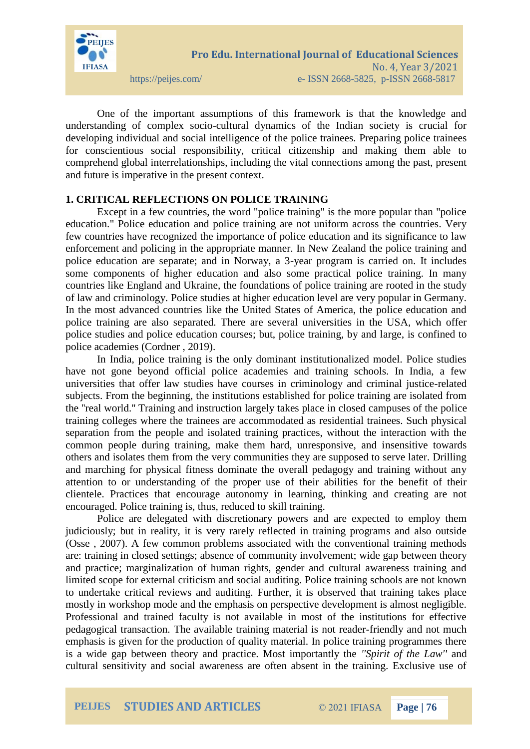

One of the important assumptions of this framework is that the knowledge and understanding of complex socio-cultural dynamics of the Indian society is crucial for developing individual and social intelligence of the police trainees. Preparing police trainees for conscientious social responsibility, critical citizenship and making them able to comprehend global interrelationships, including the vital connections among the past, present and future is imperative in the present context.

## **1. CRITICAL REFLECTIONS ON POLICE TRAINING**

Except in a few countries, the word "police training" is the more popular than "police education." Police education and police training are not uniform across the countries. Very few countries have recognized the importance of police education and its significance to law enforcement and policing in the appropriate manner. In New Zealand the police training and police education are separate; and in Norway, a 3-year program is carried on. It includes some components of higher education and also some practical police training. In many countries like England and Ukraine, the foundations of police training are rooted in the study of law and criminology. Police studies at higher education level are very popular in Germany. In the most advanced countries like the United States of America, the police education and police training are also separated. There are several universities in the USA, which offer police studies and police education courses; but, police training, by and large, is confined to police academies (Cordner , 2019).

In India, police training is the only dominant institutionalized model. Police studies have not gone beyond official police academies and training schools. In India, a few universities that offer law studies have courses in criminology and criminal justice-related subjects. From the beginning, the institutions established for police training are isolated from the ''real world.'' Training and instruction largely takes place in closed campuses of the police training colleges where the trainees are accommodated as residential trainees. Such physical separation from the people and isolated training practices, without the interaction with the common people during training, make them hard, unresponsive, and insensitive towards others and isolates them from the very communities they are supposed to serve later. Drilling and marching for physical fitness dominate the overall pedagogy and training without any attention to or understanding of the proper use of their abilities for the benefit of their clientele. Practices that encourage autonomy in learning, thinking and creating are not encouraged. Police training is, thus, reduced to skill training.

Police are delegated with discretionary powers and are expected to employ them judiciously; but in reality, it is very rarely reflected in training programs and also outside (Osse , 2007). A few common problems associated with the conventional training methods are: training in closed settings; absence of community involvement; wide gap between theory and practice; marginalization of human rights, gender and cultural awareness training and limited scope for external criticism and social auditing. Police training schools are not known to undertake critical reviews and auditing. Further, it is observed that training takes place mostly in workshop mode and the emphasis on perspective development is almost negligible. Professional and trained faculty is not available in most of the institutions for effective pedagogical transaction. The available training material is not reader-friendly and not much emphasis is given for the production of quality material. In police training programmes there is a wide gap between theory and practice. Most importantly the *''Spirit of the Law''* and cultural sensitivity and social awareness are often absent in the training. Exclusive use of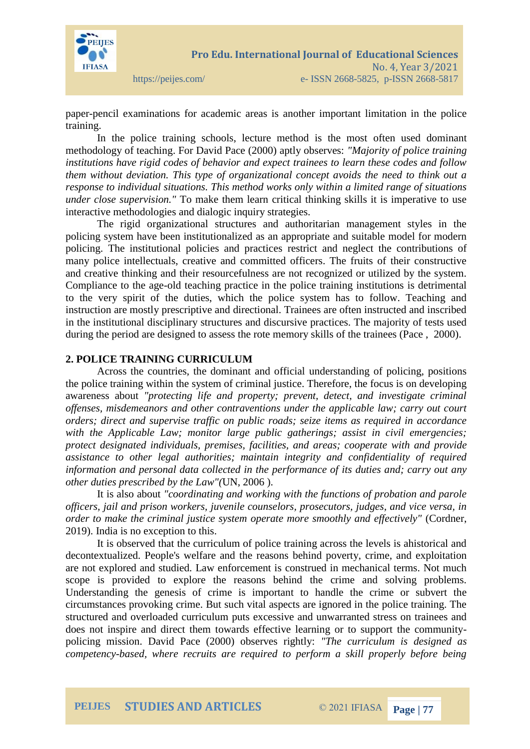

paper-pencil examinations for academic areas is another important limitation in the police training.

In the police training schools, lecture method is the most often used dominant methodology of teaching. For David Pace (2000) aptly observes: *"Majority of police training institutions have rigid codes of behavior and expect trainees to learn these codes and follow them without deviation. This type of organizational concept avoids the need to think out a response to individual situations. This method works only within a limited range of situations under close supervision."* To make them learn critical thinking skills it is imperative to use interactive methodologies and dialogic inquiry strategies.

The rigid organizational structures and authoritarian management styles in the policing system have been institutionalized as an appropriate and suitable model for modern policing. The institutional policies and practices restrict and neglect the contributions of many police intellectuals, creative and committed officers. The fruits of their constructive and creative thinking and their resourcefulness are not recognized or utilized by the system. Compliance to the age-old teaching practice in the police training institutions is detrimental to the very spirit of the duties, which the police system has to follow. Teaching and instruction are mostly prescriptive and directional. Trainees are often instructed and inscribed in the institutional disciplinary structures and discursive practices. The majority of tests used during the period are designed to assess the rote memory skills of the trainees (Pace , 2000).

#### **2. POLICE TRAINING CURRICULUM**

Across the countries, the dominant and official understanding of policing, positions the police training within the system of criminal justice. Therefore, the focus is on developing awareness about *"protecting life and property; prevent, detect, and investigate criminal offenses, misdemeanors and other contraventions under the applicable law; carry out court orders; direct and supervise traffic on public roads; seize items as required in accordance*  with the Applicable Law; monitor large public gatherings; assist in civil emergencies; *protect designated individuals, premises, facilities, and areas; cooperate with and provide assistance to other legal authorities; maintain integrity and confidentiality of required information and personal data collected in the performance of its duties and; carry out any other duties prescribed by the Law"(*UN, 2006 ).

It is also about *"coordinating and working with the functions of probation and parole officers, jail and prison workers, juvenile counselors, prosecutors, judges, and vice versa, in order to make the criminal justice system operate more smoothly and effectively"* (Cordner, 2019). India is no exception to this.

It is observed that the curriculum of police training across the levels is ahistorical and decontextualized. People's welfare and the reasons behind poverty, crime, and exploitation are not explored and studied. Law enforcement is construed in mechanical terms. Not much scope is provided to explore the reasons behind the crime and solving problems. Understanding the genesis of crime is important to handle the crime or subvert the circumstances provoking crime. But such vital aspects are ignored in the police training. The structured and overloaded curriculum puts excessive and unwarranted stress on trainees and does not inspire and direct them towards effective learning or to support the communitypolicing mission. David Pace (2000) observes rightly: *"The curriculum is designed as competency-based, where recruits are required to perform a skill properly before being*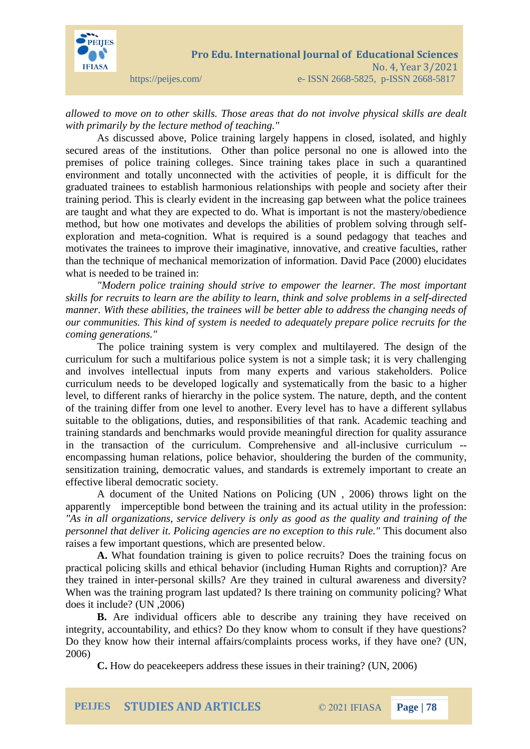

*allowed to move on to other skills. Those areas that do not involve physical skills are dealt with primarily by the lecture method of teaching."* 

As discussed above, Police training largely happens in closed, isolated, and highly secured areas of the institutions. Other than police personal no one is allowed into the premises of police training colleges. Since training takes place in such a quarantined environment and totally unconnected with the activities of people, it is difficult for the graduated trainees to establish harmonious relationships with people and society after their training period. This is clearly evident in the increasing gap between what the police trainees are taught and what they are expected to do. What is important is not the mastery/obedience method, but how one motivates and develops the abilities of problem solving through selfexploration and meta-cognition. What is required is a sound pedagogy that teaches and motivates the trainees to improve their imaginative, innovative, and creative faculties, rather than the technique of mechanical memorization of information. David Pace (2000) elucidates what is needed to be trained in:

*"Modern police training should strive to empower the learner. The most important skills for recruits to learn are the ability to learn, think and solve problems in a self-directed manner. With these abilities, the trainees will be better able to address the changing needs of our communities. This kind of system is needed to adequately prepare police recruits for the coming generations."*

The police training system is very complex and multilayered. The design of the curriculum for such a multifarious police system is not a simple task; it is very challenging and involves intellectual inputs from many experts and various stakeholders. Police curriculum needs to be developed logically and systematically from the basic to a higher level, to different ranks of hierarchy in the police system. The nature, depth, and the content of the training differ from one level to another. Every level has to have a different syllabus suitable to the obligations, duties, and responsibilities of that rank. Academic teaching and training standards and benchmarks would provide meaningful direction for quality assurance in the transaction of the curriculum. Comprehensive and all-inclusive curriculum - encompassing human relations, police behavior, shouldering the burden of the community, sensitization training, democratic values, and standards is extremely important to create an effective liberal democratic society.

A document of the United Nations on Policing (UN , 2006) throws light on the apparently imperceptible bond between the training and its actual utility in the profession: *"As in all organizations, service delivery is only as good as the quality and training of the personnel that deliver it. Policing agencies are no exception to this rule."* This document also raises a few important questions, which are presented below.

**A.** What foundation training is given to police recruits? Does the training focus on practical policing skills and ethical behavior (including Human Rights and corruption)? Are they trained in inter-personal skills? Are they trained in cultural awareness and diversity? When was the training program last updated? Is there training on community policing? What does it include? (UN ,2006)

**B.** Are individual officers able to describe any training they have received on integrity, accountability, and ethics? Do they know whom to consult if they have questions? Do they know how their internal affairs/complaints process works, if they have one? (UN, 2006)

**C.** How do peacekeepers address these issues in their training? (UN, 2006)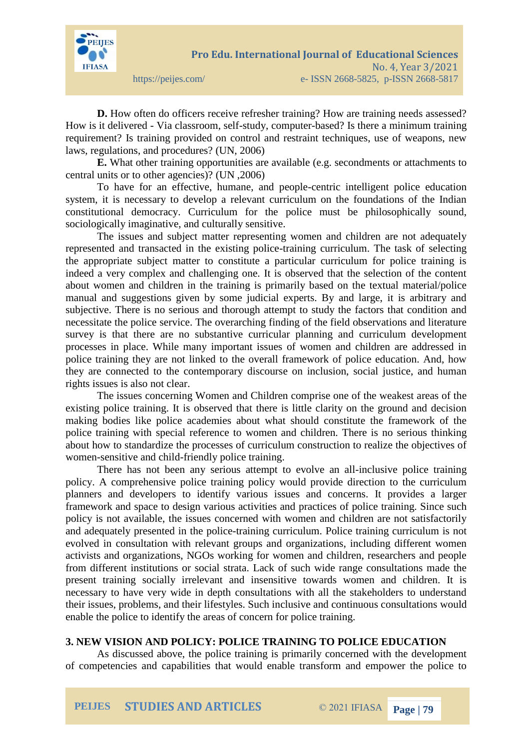

**D.** How often do officers receive refresher training? How are training needs assessed? How is it delivered - Via classroom, self-study, computer-based? Is there a minimum training requirement? Is training provided on control and restraint techniques, use of weapons, new laws, regulations, and procedures? (UN, 2006)

**E.** What other training opportunities are available (e.g. secondments or attachments to central units or to other agencies)? (UN ,2006)

To have for an effective, humane, and people-centric intelligent police education system, it is necessary to develop a relevant curriculum on the foundations of the Indian constitutional democracy. Curriculum for the police must be philosophically sound, sociologically imaginative, and culturally sensitive.

The issues and subject matter representing women and children are not adequately represented and transacted in the existing police-training curriculum. The task of selecting the appropriate subject matter to constitute a particular curriculum for police training is indeed a very complex and challenging one. It is observed that the selection of the content about women and children in the training is primarily based on the textual material/police manual and suggestions given by some judicial experts. By and large, it is arbitrary and subjective. There is no serious and thorough attempt to study the factors that condition and necessitate the police service. The overarching finding of the field observations and literature survey is that there are no substantive curricular planning and curriculum development processes in place. While many important issues of women and children are addressed in police training they are not linked to the overall framework of police education. And, how they are connected to the contemporary discourse on inclusion, social justice, and human rights issues is also not clear.

The issues concerning Women and Children comprise one of the weakest areas of the existing police training. It is observed that there is little clarity on the ground and decision making bodies like police academies about what should constitute the framework of the police training with special reference to women and children. There is no serious thinking about how to standardize the processes of curriculum construction to realize the objectives of women-sensitive and child-friendly police training.

There has not been any serious attempt to evolve an all-inclusive police training policy. A comprehensive police training policy would provide direction to the curriculum planners and developers to identify various issues and concerns. It provides a larger framework and space to design various activities and practices of police training. Since such policy is not available, the issues concerned with women and children are not satisfactorily and adequately presented in the police-training curriculum. Police training curriculum is not evolved in consultation with relevant groups and organizations, including different women activists and organizations, NGOs working for women and children, researchers and people from different institutions or social strata. Lack of such wide range consultations made the present training socially irrelevant and insensitive towards women and children. It is necessary to have very wide in depth consultations with all the stakeholders to understand their issues, problems, and their lifestyles. Such inclusive and continuous consultations would enable the police to identify the areas of concern for police training.

#### **3. NEW VISION AND POLICY: POLICE TRAINING TO POLICE EDUCATION**

As discussed above, the police training is primarily concerned with the development of competencies and capabilities that would enable transform and empower the police to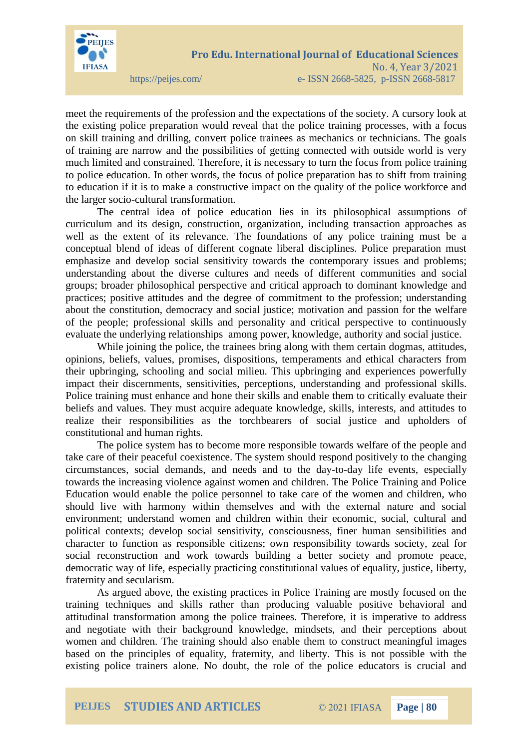

meet the requirements of the profession and the expectations of the society. A cursory look at the existing police preparation would reveal that the police training processes, with a focus on skill training and drilling, convert police trainees as mechanics or technicians. The goals of training are narrow and the possibilities of getting connected with outside world is very much limited and constrained. Therefore, it is necessary to turn the focus from police training to police education. In other words, the focus of police preparation has to shift from training to education if it is to make a constructive impact on the quality of the police workforce and the larger socio-cultural transformation.

The central idea of police education lies in its philosophical assumptions of curriculum and its design, construction, organization, including transaction approaches as well as the extent of its relevance. The foundations of any police training must be a conceptual blend of ideas of different cognate liberal disciplines. Police preparation must emphasize and develop social sensitivity towards the contemporary issues and problems; understanding about the diverse cultures and needs of different communities and social groups; broader philosophical perspective and critical approach to dominant knowledge and practices; positive attitudes and the degree of commitment to the profession; understanding about the constitution, democracy and social justice; motivation and passion for the welfare of the people; professional skills and personality and critical perspective to continuously evaluate the underlying relationships among power, knowledge, authority and social justice.

While joining the police, the trainees bring along with them certain dogmas, attitudes, opinions, beliefs, values, promises, dispositions, temperaments and ethical characters from their upbringing, schooling and social milieu. This upbringing and experiences powerfully impact their discernments, sensitivities, perceptions, understanding and professional skills. Police training must enhance and hone their skills and enable them to critically evaluate their beliefs and values. They must acquire adequate knowledge, skills, interests, and attitudes to realize their responsibilities as the torchbearers of social justice and upholders of constitutional and human rights.

The police system has to become more responsible towards welfare of the people and take care of their peaceful coexistence. The system should respond positively to the changing circumstances, social demands, and needs and to the day-to-day life events, especially towards the increasing violence against women and children. The Police Training and Police Education would enable the police personnel to take care of the women and children, who should live with harmony within themselves and with the external nature and social environment; understand women and children within their economic, social, cultural and political contexts; develop social sensitivity, consciousness, finer human sensibilities and character to function as responsible citizens; own responsibility towards society, zeal for social reconstruction and work towards building a better society and promote peace, democratic way of life, especially practicing constitutional values of equality, justice, liberty, fraternity and secularism.

As argued above, the existing practices in Police Training are mostly focused on the training techniques and skills rather than producing valuable positive behavioral and attitudinal transformation among the police trainees. Therefore, it is imperative to address and negotiate with their background knowledge, mindsets, and their perceptions about women and children. The training should also enable them to construct meaningful images based on the principles of equality, fraternity, and liberty. This is not possible with the existing police trainers alone. No doubt, the role of the police educators is crucial and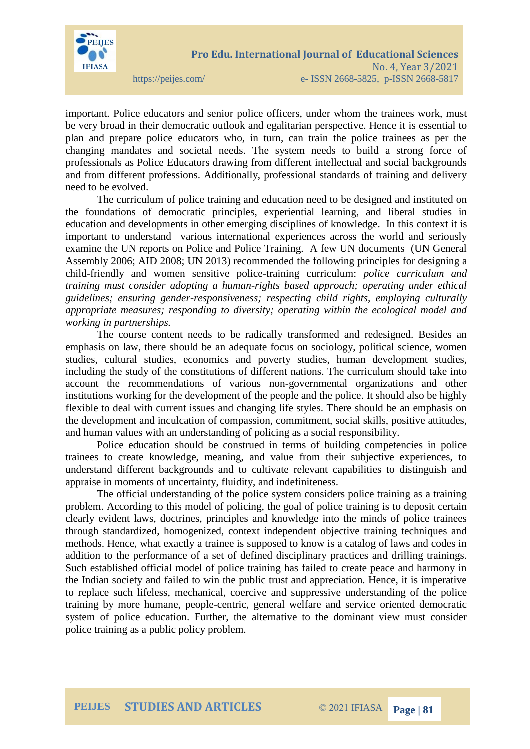

important. Police educators and senior police officers, under whom the trainees work, must be very broad in their democratic outlook and egalitarian perspective. Hence it is essential to plan and prepare police educators who, in turn, can train the police trainees as per the changing mandates and societal needs. The system needs to build a strong force of professionals as Police Educators drawing from different intellectual and social backgrounds and from different professions. Additionally, professional standards of training and delivery need to be evolved.

The curriculum of police training and education need to be designed and instituted on the foundations of democratic principles, experiential learning, and liberal studies in education and developments in other emerging disciplines of knowledge. In this context it is important to understand various international experiences across the world and seriously examine the UN reports on Police and Police Training. A few UN documents (UN General Assembly 2006; AID 2008; UN 2013) recommended the following principles for designing a child-friendly and women sensitive police-training curriculum: *police curriculum and training must consider adopting a human-rights based approach; operating under ethical guidelines; ensuring gender-responsiveness; respecting child rights, employing culturally appropriate measures; responding to diversity; operating within the ecological model and working in partnerships.*

The course content needs to be radically transformed and redesigned. Besides an emphasis on law, there should be an adequate focus on sociology, political science, women studies, cultural studies, economics and poverty studies, human development studies, including the study of the constitutions of different nations. The curriculum should take into account the recommendations of various non-governmental organizations and other institutions working for the development of the people and the police. It should also be highly flexible to deal with current issues and changing life styles. There should be an emphasis on the development and inculcation of compassion, commitment, social skills, positive attitudes, and human values with an understanding of policing as a social responsibility.

Police education should be construed in terms of building competencies in police trainees to create knowledge, meaning, and value from their subjective experiences, to understand different backgrounds and to cultivate relevant capabilities to distinguish and appraise in moments of uncertainty, fluidity, and indefiniteness.

The official understanding of the police system considers police training as a training problem. According to this model of policing, the goal of police training is to deposit certain clearly evident laws, doctrines, principles and knowledge into the minds of police trainees through standardized, homogenized, context independent objective training techniques and methods. Hence, what exactly a trainee is supposed to know is a catalog of laws and codes in addition to the performance of a set of defined disciplinary practices and drilling trainings. Such established official model of police training has failed to create peace and harmony in the Indian society and failed to win the public trust and appreciation. Hence, it is imperative to replace such lifeless, mechanical, coercive and suppressive understanding of the police training by more humane, people-centric, general welfare and service oriented democratic system of police education. Further, the alternative to the dominant view must consider police training as a public policy problem.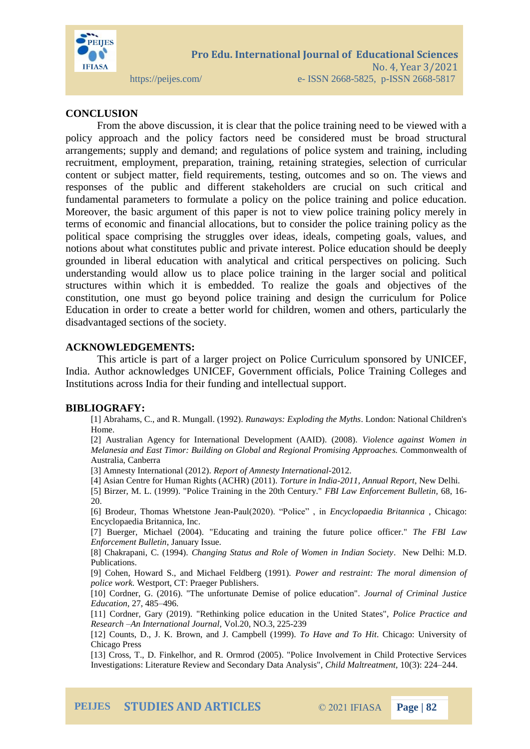

### **CONCLUSION**

From the above discussion, it is clear that the police training need to be viewed with a policy approach and the policy factors need be considered must be broad structural arrangements; supply and demand; and regulations of police system and training, including recruitment, employment, preparation, training, retaining strategies, selection of curricular content or subject matter, field requirements, testing, outcomes and so on. The views and responses of the public and different stakeholders are crucial on such critical and fundamental parameters to formulate a policy on the police training and police education. Moreover, the basic argument of this paper is not to view police training policy merely in terms of economic and financial allocations, but to consider the police training policy as the political space comprising the struggles over ideas, ideals, competing goals, values, and notions about what constitutes public and private interest. Police education should be deeply grounded in liberal education with analytical and critical perspectives on policing. Such understanding would allow us to place police training in the larger social and political structures within which it is embedded. To realize the goals and objectives of the constitution, one must go beyond police training and design the curriculum for Police Education in order to create a better world for children, women and others, particularly the disadvantaged sections of the society.

#### **ACKNOWLEDGEMENTS:**

This article is part of a larger project on Police Curriculum sponsored by UNICEF, India. Author acknowledges UNICEF, Government officials, Police Training Colleges and Institutions across India for their funding and intellectual support.

#### **BIBLIOGRAFY:**

[1] Abrahams, C., and R. Mungall. (1992). *Runaways: Exploding the Myths*. London: National Children's Home.

[2] Australian Agency for International Development (AAID). (2008). *Violence against Women in Melanesia and East Timor: Building on Global and Regional Promising Approaches.* Commonwealth of Australia, Canberra

[3] Amnesty International (2012). *Report of Amnesty International*-2012.

[4] Asian Centre for Human Rights (ACHR) (2011). *Torture in India-2011, Annual Report*, New Delhi.

[5] Birzer, M. L. (1999). "Police Training in the 20th Century." *FBI Law Enforcement Bulletin,* 68, 16- 20.

[6] Brodeur, Thomas Whetstone Jean-Paul(2020). "Police" , in *Encyclopaedia Britannica* , Chicago: Encyclopaedia Britannica, Inc.

[7] Buerger, Michael (2004). "Educating and training the future police officer." *The FBI Law Enforcement Bulletin*, January Issue.

[8] Chakrapani, C. (1994). *Changing Status and Role of Women in Indian Society*. New Delhi: M.D. Publications.

[9] Cohen, Howard S., and Michael Feldberg (1991). *Power and restraint: The moral dimension of police work.* Westport, CT: Praeger Publishers.

[10] Cordner, G. (2016). "The unfortunate Demise of police education". *Journal of Criminal Justice Education*, 27, 485–496.

[11] Cordner, Gary (2019). "Rethinking police education in the United States", *Police Practice and Research –An International Journal,* Vol.20, NO.3, 225-239

[12] Counts, D., J. K. Brown, and J. Campbell (1999). *To Have and To Hit*. Chicago: University of Chicago Press

[13] Cross, T., D. Finkelhor, and R. Ormrod (2005). "Police Involvement in Child Protective Services Investigations: Literature Review and Secondary Data Analysis", *Child Maltreatment,* 10(3): 224–244.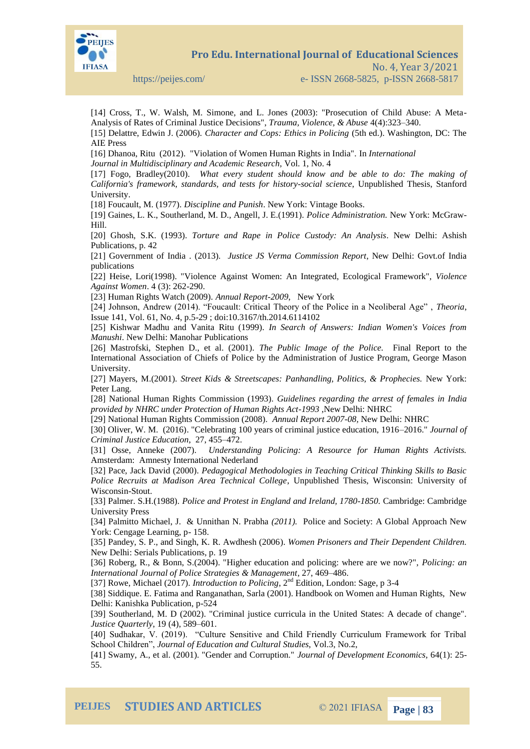

**Pro Edu. International Journal of Educational Sciences** 

https://peijes.com/ e- ISSN 2668-5825, p-ISSN 2668-5817

[14] Cross, T., W. Walsh, M. Simone, and L. Jones (2003): "Prosecution of Child Abuse: A Meta-Analysis of Rates of Criminal Justice Decisions", *Trauma, Violence, & Abuse* 4(4):323–340.

[15] Delattre, Edwin J. (2006). *Character and Cops: Ethics in Policing* (5th ed.). Washington, DC: The AIE Press

[16] Dhanoa, Ritu (2012). "Violation of Women Human Rights in India". In *International*

*Journal in Multidisciplinary and Academic Research,* Vol. 1, No. 4

[17] Fogo, Bradley(2010). *What every student should know and be able to do: The making of California's framework, standards, and tests for history-social science*, Unpublished Thesis, Stanford University.

[18] Foucault, M. (1977). *Discipline and Punish*. New York: Vintage Books.

[19] Gaines, L. K., Southerland, M. D., Angell, J. E.(1991). *Police Administration.* New York: McGraw-Hill.

[20] Ghosh, S.K. (1993). *Torture and Rape in Police Custody: An Analysis*. New Delhi: Ashish Publications, p. 42

[21] Government of India . (2013). *Justice JS Verma Commission Report*, New Delhi: Govt.of India publications

[22] Heise, Lori(1998). "Violence Against Women: An Integrated, Ecological Framework", *Violence Against Women*. 4 (3): 262-290.

[23] Human Rights Watch (2009). *Annual Report-2009*, New York

[24] Johnson, Andrew (2014). "Foucault: Critical Theory of the Police in a Neoliberal Age" , *Theoria*, Issue 141, Vol. 61, No. 4, p.5-29 ; doi:10.3167/th.2014.6114102

[25] Kishwar Madhu and Vanita Ritu (1999). *In Search of Answers: Indian Women's Voices from Manushi*. New Delhi: Manohar Publications

[26] Mastrofski, Stephen D., et al. (2001). *The Public Image of the Police.* Final Report to the International Association of Chiefs of Police by the Administration of Justice Program, George Mason University.

[27] Mayers, M.(2001). *Street Kids & Streetscapes: Panhandling, Politics, & Prophecies.* New York: Peter Lang.

[28] National Human Rights Commission (1993). *Guidelines regarding the arrest of females in India provided by NHRC under Protection of Human Rights Act-1993* ,New Delhi: NHRC

[29] National Human Rights Commission (2008). *Annual Report 2007-08,* New Delhi: NHRC

[30] Oliver, W. M. (2016). "Celebrating 100 years of criminal justice education, 1916–2016." *Journal of Criminal Justice Education*, 27, 455–472.

[31] Osse, Anneke (2007). *Understanding Policing: A Resource for Human Rights Activists.* Amsterdam: Amnesty International Nederland

[32] Pace, Jack David (2000). *Pedagogical Methodologies in Teaching Critical Thinking Skills to Basic Police Recruits at Madison Area Technical College*, Unpublished Thesis, Wisconsin: University of Wisconsin-Stout.

[33] Palmer. S.H.(1988). *Police and Protest in England and Ireland, 1780-1850.* Cambridge: Cambridge University Press

[34] Palmitto Michael, J. & Unnithan N. Prabha *(2011).* Police and Society: A Global Approach New York: Cengage Learning, p- 158.

[35] Pandey, S. P., and Singh, K. R. Awdhesh (2006). *Women Prisoners and Their Dependent Children.*  New Delhi: Serials Publications, p. 19

[36] Roberg, R., & Bonn, S.(2004). "Higher education and policing: where are we now?", *Policing: an International Journal of Police Strategies & Management*, 27, 469–486.

[37] Rowe, Michael (2017). *Introduction to Policing*, 2nd Edition, London: Sage, p 3-4

[38] Siddique. E. Fatima and Ranganathan, Sarla (2001). Handbook on Women and Human Rights, New Delhi: Kanishka Publication, p-524

[39] Southerland, M. D (2002). "Criminal justice curricula in the United States: A decade of change". *Justice Quarterly*, 19 (4), 589–601.

[40] Sudhakar, V. (2019). "Culture Sensitive and Child Friendly Curriculum Framework for Tribal School Children", *Journal of Education and Cultural Studies*, Vol.3, No.2,

[41] Swamy, A., et al. (2001). "Gender and Corruption." *Journal of Development Economics,* 64(1): 25- 55.